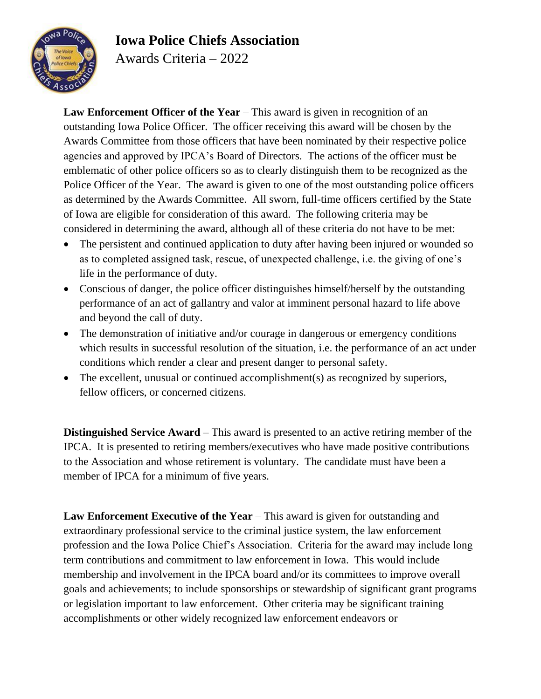

Awards Criteria – 2022

**Law Enforcement Officer of the Year** – This award is given in recognition of an outstanding Iowa Police Officer. The officer receiving this award will be chosen by the Awards Committee from those officers that have been nominated by their respective police agencies and approved by IPCA's Board of Directors. The actions of the officer must be emblematic of other police officers so as to clearly distinguish them to be recognized as the Police Officer of the Year. The award is given to one of the most outstanding police officers as determined by the Awards Committee. All sworn, full-time officers certified by the State of Iowa are eligible for consideration of this award. The following criteria may be considered in determining the award, although all of these criteria do not have to be met:

- The persistent and continued application to duty after having been injured or wounded so as to completed assigned task, rescue, of unexpected challenge, i.e. the giving of one's life in the performance of duty.
- Conscious of danger, the police officer distinguishes himself/herself by the outstanding performance of an act of gallantry and valor at imminent personal hazard to life above and beyond the call of duty.
- The demonstration of initiative and/or courage in dangerous or emergency conditions which results in successful resolution of the situation, i.e. the performance of an act under conditions which render a clear and present danger to personal safety.
- The excellent, unusual or continued accomplishment(s) as recognized by superiors, fellow officers, or concerned citizens.

**Distinguished Service Award** – This award is presented to an active retiring member of the IPCA. It is presented to retiring members/executives who have made positive contributions to the Association and whose retirement is voluntary. The candidate must have been a member of IPCA for a minimum of five years.

**Law Enforcement Executive of the Year** – This award is given for outstanding and extraordinary professional service to the criminal justice system, the law enforcement profession and the Iowa Police Chief's Association. Criteria for the award may include long term contributions and commitment to law enforcement in Iowa. This would include membership and involvement in the IPCA board and/or its committees to improve overall goals and achievements; to include sponsorships or stewardship of significant grant programs or legislation important to law enforcement. Other criteria may be significant training accomplishments or other widely recognized law enforcement endeavors or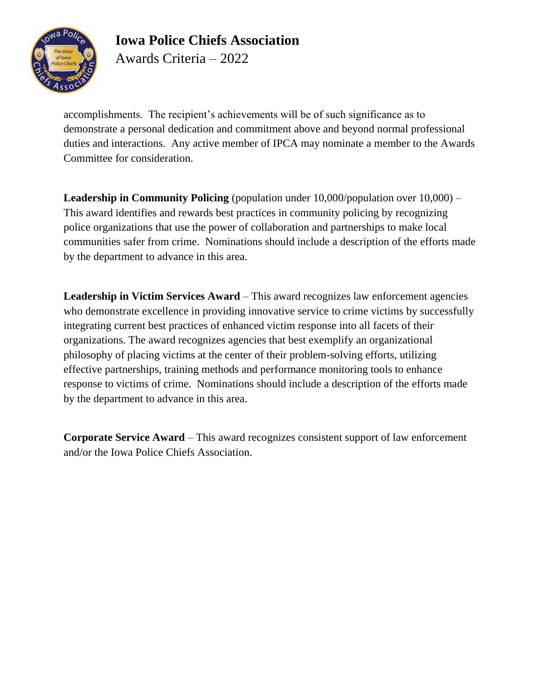

Awards Criteria – 2022

accomplishments. The recipient's achievements will be of such significance as to demonstrate a personal dedication and commitment above and beyond normal professional duties and interactions. Any active member of IPCA may nominate a member to the Awards Committee for consideration.

**Leadership in Community Policing** (population under 10,000/population over 10,000) – This award identifies and rewards best practices in community policing by recognizing police organizations that use the power of collaboration and partnerships to make local communities safer from crime. Nominations should include a description of the efforts made by the department to advance in this area.

**Leadership in Victim Services Award** – This award recognizes law enforcement agencies who demonstrate excellence in providing innovative service to crime victims by successfully integrating current best practices of enhanced victim response into all facets of their organizations. The award recognizes agencies that best exemplify an organizational philosophy of placing victims at the center of their problem-solving efforts, utilizing effective partnerships, training methods and performance monitoring tools to enhance response to victims of crime. Nominations should include a description of the efforts made by the department to advance in this area.

**Corporate Service Award** – This award recognizes consistent support of law enforcement and/or the Iowa Police Chiefs Association.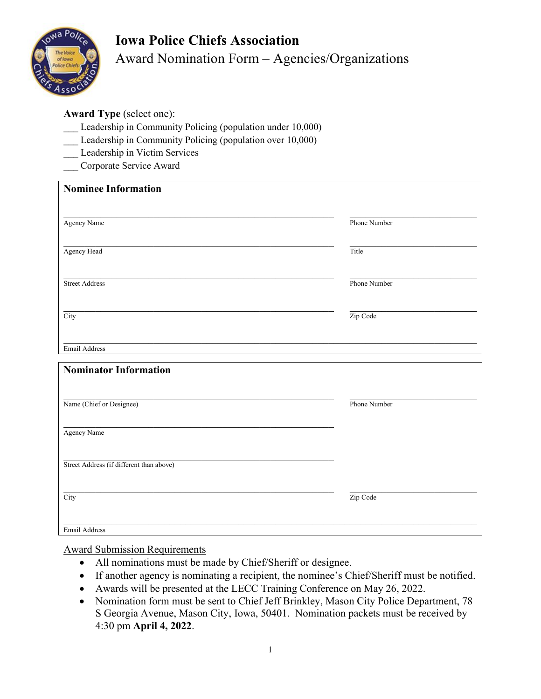

## Award Nomination Form – Agencies/Organizations

#### **Award Type** (select one):

- Leadership in Community Policing (population under 10,000)
- Leadership in Community Policing (population over 10,000)
- Leadership in Victim Services
- \_\_\_ Corporate Service Award

| <b>Nominee Information</b>   |              |
|------------------------------|--------------|
|                              |              |
| Agency Name                  | Phone Number |
| Agency Head                  | Title        |
| <b>Street Address</b>        | Phone Number |
| City                         | Zip Code     |
| Email Address                |              |
| <b>Nominator Information</b> |              |

| Phone Number |
|--------------|
|              |
|              |
| Zip Code     |
|              |

#### Award Submission Requirements

- All nominations must be made by Chief/Sheriff or designee.
- If another agency is nominating a recipient, the nominee's Chief/Sheriff must be notified.
- Awards will be presented at the LECC Training Conference on May 26, 2022.
- Nomination form must be sent to Chief Jeff Brinkley, Mason City Police Department, 78 S Georgia Avenue, Mason City, Iowa, 50401. Nomination packets must be received by 4:30 pm **April 4, 2022**.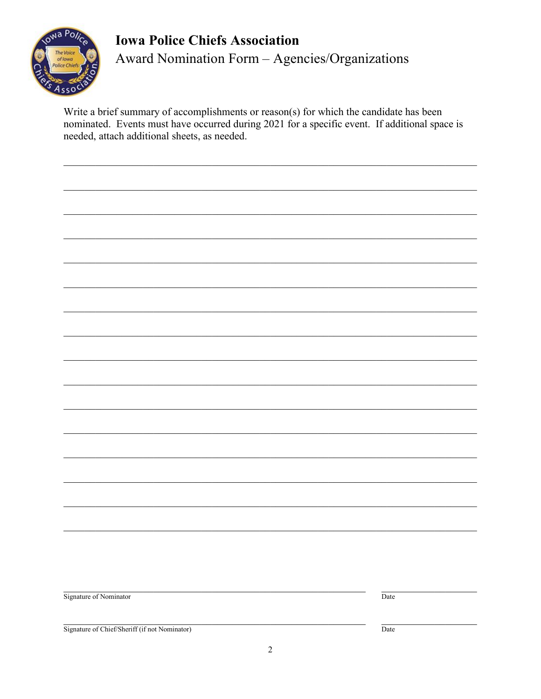

Award Nomination Form - Agencies/Organizations

Write a brief summary of accomplishments or reason(s) for which the candidate has been nominated. Events must have occurred during 2021 for a specific event. If additional space is needed, attach additional sheets, as needed.

| Signature of Nominator | Date |
|------------------------|------|
|                        |      |
|                        |      |

Signature of Chief/Sheriff (if not Nominator)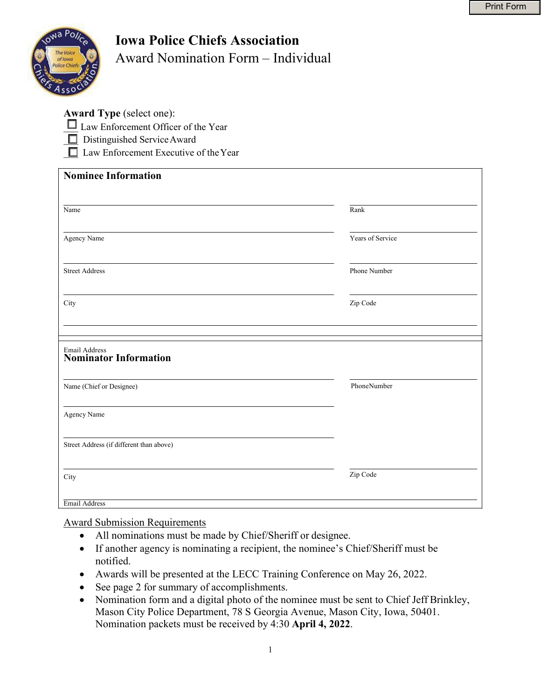

## **Iowa Police Chiefs Association** Award Nomination Form – Individual

### **Award Type** (select one):

- \_\_ \_ Law Enforcement Officer of the Year
- Distinguished Service Award
- \_\_ \_ Law Enforcement Executive of theYear

| <b>Nominee Information</b>                           |                  |
|------------------------------------------------------|------------------|
| Name                                                 | Rank             |
| Agency Name                                          | Years of Service |
| <b>Street Address</b>                                | Phone Number     |
| City                                                 | Zip Code         |
| <b>Email Address</b><br><b>Nominator Information</b> |                  |
| Name (Chief or Designee)                             | PhoneNumber      |
| Agency Name                                          |                  |
| Street Address (if different than above)             |                  |
| City                                                 | Zip Code         |
|                                                      |                  |

Email Address

Award Submission Requirements

- All nominations must be made by Chief/Sheriff or designee.
- If another agency is nominating a recipient, the nominee's Chief/Sheriff must be notified.
- Awards will be presented at the LECC Training Conference on May 26, 2022.
- See page 2 for summary of accomplishments.
- Nomination form and a digital photo of the nominee must be sent to Chief Jeff Brinkley, Mason City Police Department, 78 S Georgia Avenue, Mason City, Iowa, 50401. Nomination packets must be received by 4:30 **April 4, 2022**.